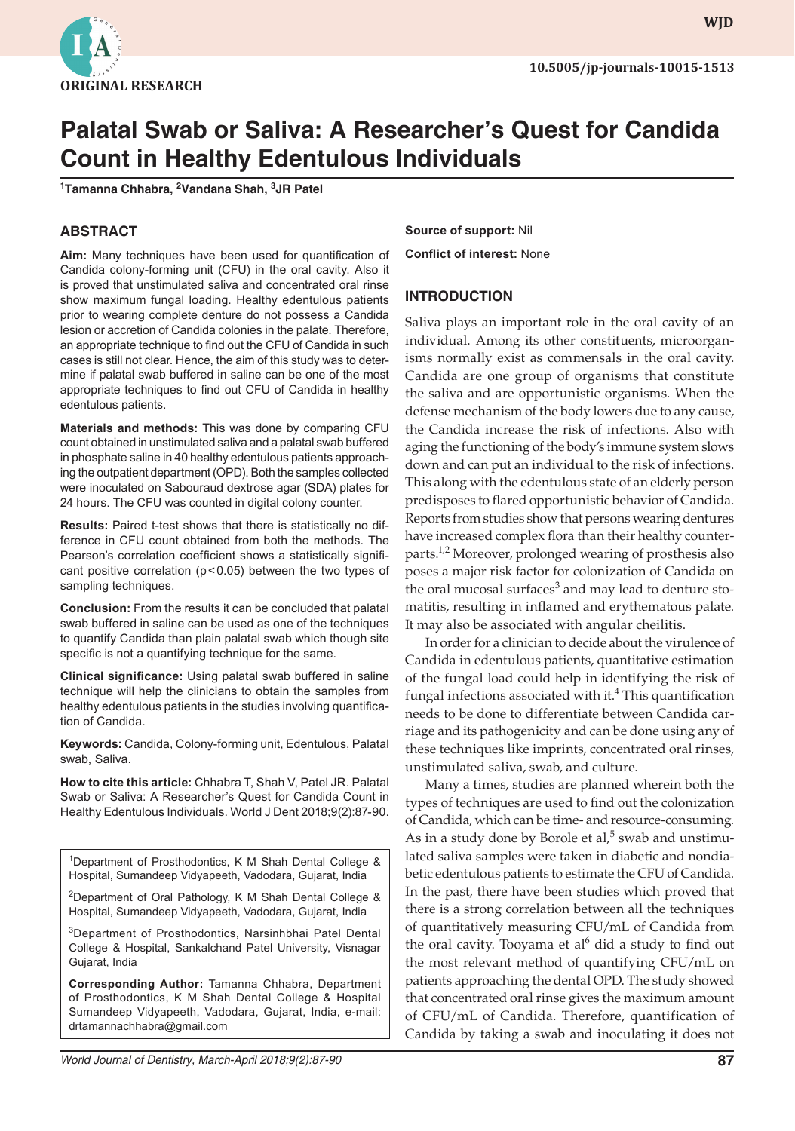

**wjd WJD**

# **Palatal Swab or Saliva: A Researcher's Quest for Candida Count in Healthy Edentulous Individuals**

**1 Tamanna Chhabra, 2 Vandana Shah, 3 JR Patel**

#### **ABSTRACT**

**Aim:** Many techniques have been used for quantification of Candida colony-forming unit (CFU) in the oral cavity. Also it is proved that unstimulated saliva and concentrated oral rinse show maximum fungal loading. Healthy edentulous patients prior to wearing complete denture do not possess a Candida lesion or accretion of Candida colonies in the palate. Therefore, an appropriate technique to find out the CFU of Candida in such cases is still not clear. Hence, the aim of this study was to determine if palatal swab buffered in saline can be one of the most appropriate techniques to find out CFU of Candida in healthy edentulous patients.

**Materials and methods:** This was done by comparing CFU count obtained in unstimulated saliva and a palatal swab buffered in phosphate saline in 40 healthy edentulous patients approaching the outpatient department (OPD). Both the samples collected were inoculated on Sabouraud dextrose agar (SDA) plates for 24 hours. The CFU was counted in digital colony counter.

**Results:** Paired t-test shows that there is statistically no difference in CFU count obtained from both the methods. The Pearson's correlation coefficient shows a statistically significant positive correlation (p<0.05) between the two types of sampling techniques.

**Conclusion:** From the results it can be concluded that palatal swab buffered in saline can be used as one of the techniques to quantify Candida than plain palatal swab which though site specific is not a quantifying technique for the same.

**Clinical significance:** Using palatal swab buffered in saline technique will help the clinicians to obtain the samples from healthy edentulous patients in the studies involving quantification of Candida.

**Keywords:** Candida, Colony-forming unit, Edentulous, Palatal swab, Saliva.

**How to cite this article:** Chhabra T, Shah V, Patel JR. Palatal Swab or Saliva: A Researcher's Quest for Candida Count in Healthy Edentulous Individuals. World J Dent 2018;9(2):87-90.

<sup>1</sup>Department of Prosthodontics, K M Shah Dental College & Hospital, Sumandeep Vidyapeeth, Vadodara, Gujarat, India

<sup>2</sup>Department of Oral Pathology, K M Shah Dental College & Hospital, Sumandeep Vidyapeeth, Vadodara, Gujarat, India

3Department of Prosthodontics, Narsinhbhai Patel Dental College & Hospital, Sankalchand Patel University, Visnagar Gujarat, India

**Corresponding Author:** Tamanna Chhabra, Department of Prosthodontics, K M Shah Dental College & Hospital Sumandeep Vidyapeeth, Vadodara, Gujarat, India, e-mail: drtamannachhabra@gmail.com

*World Journal of Dentistry, March-April 2018;9(2):87-90* **87**

**Source of support:** Nil

**Conflict of interest:** None

#### **INTRODUCTION**

Saliva plays an important role in the oral cavity of an individual. Among its other constituents, microorganisms normally exist as commensals in the oral cavity. Candida are one group of organisms that constitute the saliva and are opportunistic organisms. When the defense mechanism of the body lowers due to any cause, the Candida increase the risk of infections. Also with aging the functioning of the body's immune system slows down and can put an individual to the risk of infections. This along with the edentulous state of an elderly person predisposes to flared opportunistic behavior of Candida. Reports from studies show that persons wearing dentures have increased complex flora than their healthy counterparts.<sup>1,2</sup> Moreover, prolonged wearing of prosthesis also poses a major risk factor for colonization of Candida on the oral mucosal surfaces $^3$  and may lead to denture stomatitis, resulting in inflamed and erythematous palate. It may also be associated with angular cheilitis.

In order for a clinician to decide about the virulence of Candida in edentulous patients, quantitative estimation of the fungal load could help in identifying the risk of fungal infections associated with it.<sup>4</sup> This quantification needs to be done to differentiate between Candida carriage and its pathogenicity and can be done using any of these techniques like imprints, concentrated oral rinses, unstimulated saliva, swab, and culture.

Many a times, studies are planned wherein both the types of techniques are used to find out the colonization of Candida, which can be time- and resource-consuming. As in a study done by Borole et al, $5$  swab and unstimulated saliva samples were taken in diabetic and nondiabetic edentulous patients to estimate the CFU of Candida. In the past, there have been studies which proved that there is a strong correlation between all the techniques of quantitatively measuring CFU/mL of Candida from the oral cavity. Tooyama et al<sup>6</sup> did a study to find out the most relevant method of quantifying CFU/mL on patients approaching the dental OPD. The study showed that concentrated oral rinse gives the maximum amount of CFU/mL of Candida. Therefore, quantification of Candida by taking a swab and inoculating it does not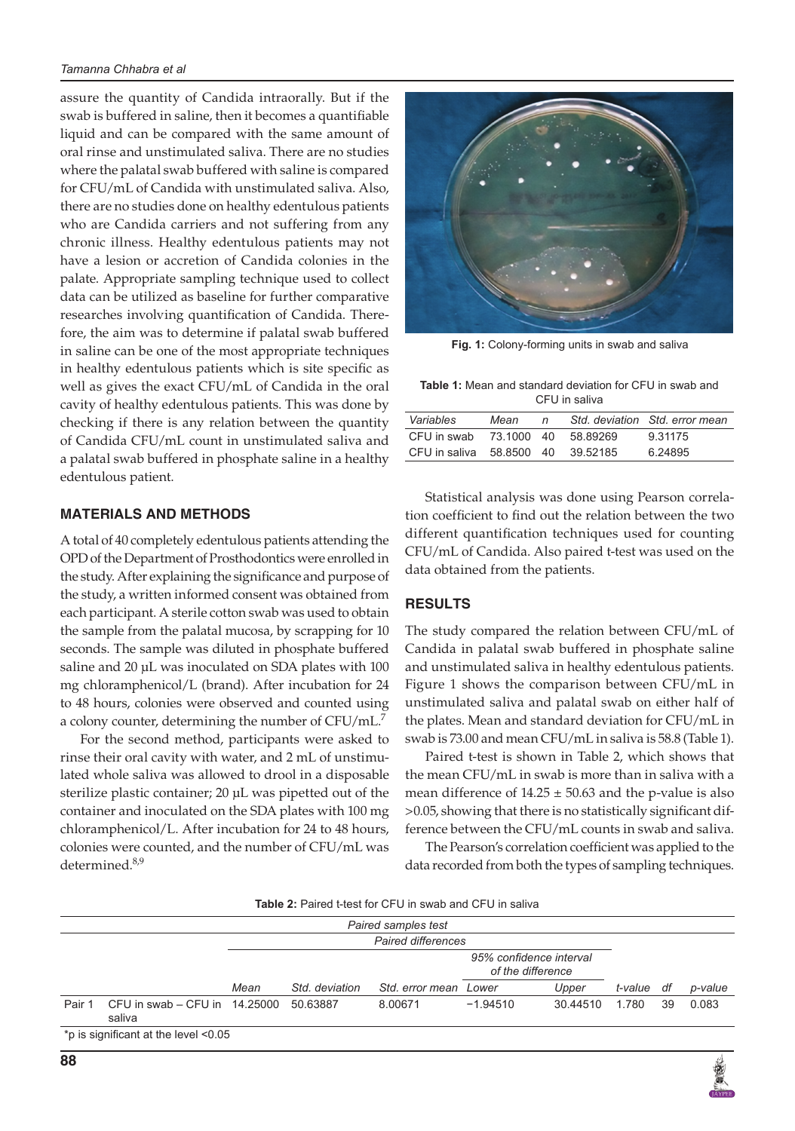assure the quantity of Candida intraorally. But if the swab is buffered in saline, then it becomes a quantifiable liquid and can be compared with the same amount of oral rinse and unstimulated saliva. There are no studies where the palatal swab buffered with saline is compared for CFU/mL of Candida with unstimulated saliva. Also, there are no studies done on healthy edentulous patients who are Candida carriers and not suffering from any chronic illness. Healthy edentulous patients may not have a lesion or accretion of Candida colonies in the palate. Appropriate sampling technique used to collect data can be utilized as baseline for further comparative researches involving quantification of Candida. Therefore, the aim was to determine if palatal swab buffered in saline can be one of the most appropriate techniques in healthy edentulous patients which is site specific as well as gives the exact CFU/mL of Candida in the oral cavity of healthy edentulous patients. This was done by checking if there is any relation between the quantity of Candida CFU/mL count in unstimulated saliva and a palatal swab buffered in phosphate saline in a healthy edentulous patient.

#### **MATERIALS AND METHODS**

A total of 40 completely edentulous patients attending the OPD of the Department of Prosthodontics were enrolled in the study. After explaining the significance and purpose of the study, a written informed consent was obtained from each participant. A sterile cotton swab was used to obtain the sample from the palatal mucosa, by scrapping for 10 seconds. The sample was diluted in phosphate buffered saline and 20 μL was inoculated on SDA plates with 100 mg chloramphenicol/L (brand). After incubation for 24 to 48 hours, colonies were observed and counted using a colony counter, determining the number of CFU/mL.<sup>7</sup>

For the second method, participants were asked to rinse their oral cavity with water, and 2 mL of unstimulated whole saliva was allowed to drool in a disposable sterilize plastic container; 20 μL was pipetted out of the container and inoculated on the SDA plates with 100 mg chloramphenicol/L. After incubation for 24 to 48 hours, colonies were counted, and the number of CFU/mL was determined.<sup>8,9</sup>



**Fig. 1:** Colony-forming units in swab and saliva

**Table 1:** Mean and standard deviation for CFU in swab and CFU in saliva

|                          | Mean       | n |          | Std. deviation Std. error mean |
|--------------------------|------------|---|----------|--------------------------------|
| CFU in swab              | 73.1000 40 |   | 58.89269 | 9.31175                        |
| CFU in saliva 58,8500 40 |            |   | 39.52185 | 6.24895                        |

Statistical analysis was done using Pearson correlation coefficient to find out the relation between the two different quantification techniques used for counting CFU/mL of Candida. Also paired t-test was used on the data obtained from the patients.

## **RESULTS**

The study compared the relation between CFU/mL of Candida in palatal swab buffered in phosphate saline and unstimulated saliva in healthy edentulous patients. Figure 1 shows the comparison between CFU/mL in unstimulated saliva and palatal swab on either half of the plates. Mean and standard deviation for CFU/mL in swab is 73.00 and mean CFU/mL in saliva is 58.8 (Table 1).

Paired t-test is shown in Table 2, which shows that the mean CFU/mL in swab is more than in saliva with a mean difference of  $14.25 \pm 50.63$  and the p-value is also >0.05, showing that there is no statistically significant difference between the CFU/mL counts in swab and saliva.

The Pearson's correlation coefficient was applied to the data recorded from both the types of sampling techniques.

| <b>Table 2:</b> Paired t-test for CFU in swab and CFU in saliva |  |  |
|-----------------------------------------------------------------|--|--|
|-----------------------------------------------------------------|--|--|

| Paired samples test                  |                                               |                    |                |                       |                                              |          |         |    |         |
|--------------------------------------|-----------------------------------------------|--------------------|----------------|-----------------------|----------------------------------------------|----------|---------|----|---------|
|                                      |                                               | Paired differences |                |                       |                                              |          |         |    |         |
|                                      |                                               |                    |                |                       | 95% confidence interval<br>of the difference |          |         |    |         |
|                                      |                                               | Mean               | Std. deviation | Std. error mean Lower |                                              | Upper    | t-value | df | p-value |
| Pair 1                               | CFU in swab $-$ CFU in $-$ 14.25000<br>saliva |                    | 50.63887       | 8.00671               | $-1.94510$                                   | 30.44510 | 1.780   | 39 | 0.083   |
| *p is significant at the level <0.05 |                                               |                    |                |                       |                                              |          |         |    |         |

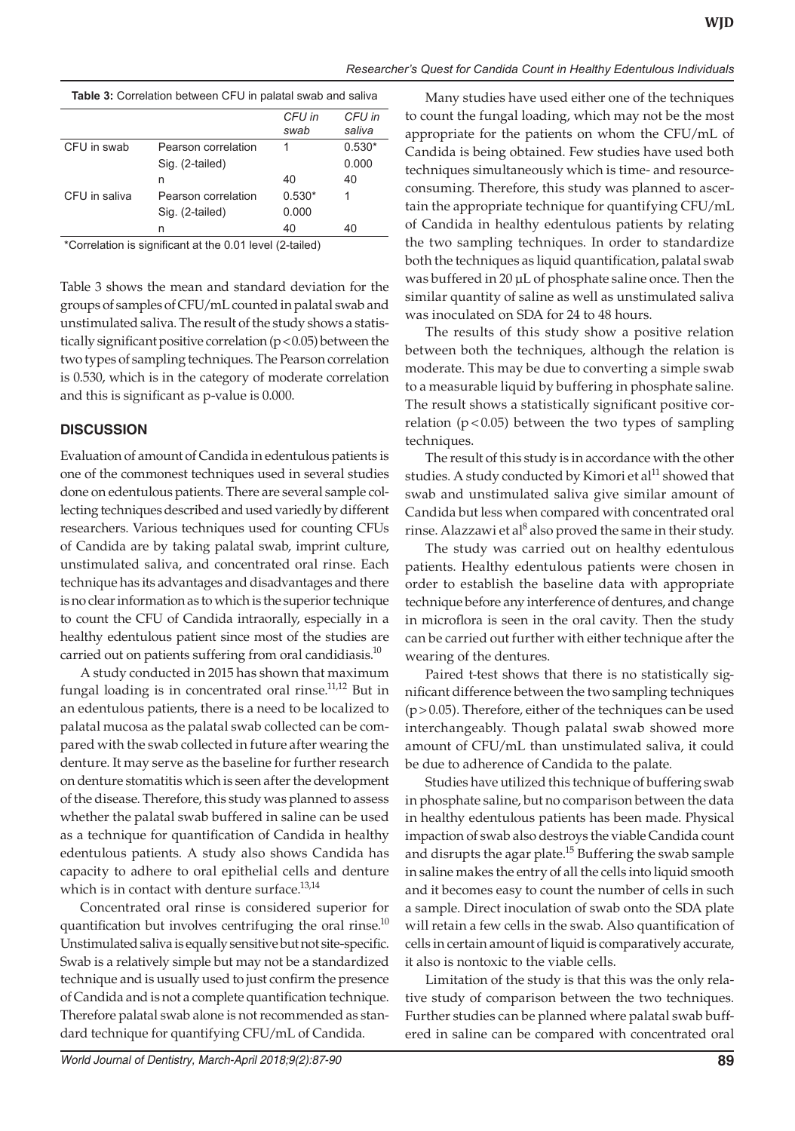| Table 3: Correlation between CFU in palatal swab and saliva |  |  |  |
|-------------------------------------------------------------|--|--|--|

|               |                     | CFU in   | CFU in   |
|---------------|---------------------|----------|----------|
|               |                     | swab     | saliva   |
| CFU in swab   | Pearson correlation | 1        | $0.530*$ |
|               | Sig. (2-tailed)     |          | 0.000    |
|               | n                   | 40       | 40       |
| CFU in saliva | Pearson correlation | $0.530*$ | 1        |
|               | Sig. (2-tailed)     | 0.000    |          |
|               | n                   | 40       | 40       |
|               |                     |          |          |

\*Correlation is significant at the 0.01 level (2-tailed)

Table 3 shows the mean and standard deviation for the groups of samples of CFU/mL counted in palatal swab and unstimulated saliva. The result of the study shows a statistically significant positive correlation (p<0.05) between the two types of sampling techniques. The Pearson correlation is 0.530, which is in the category of moderate correlation and this is significant as p-value is 0.000.

## **DISCUSSION**

Evaluation of amount of Candida in edentulous patients is one of the commonest techniques used in several studies done on edentulous patients. There are several sample collecting techniques described and used variedly by different researchers. Various techniques used for counting CFUs of Candida are by taking palatal swab, imprint culture, unstimulated saliva, and concentrated oral rinse. Each technique has its advantages and disadvantages and there is no clear information as to which is the superior technique to count the CFU of Candida intraorally, especially in a healthy edentulous patient since most of the studies are carried out on patients suffering from oral candidiasis.<sup>10</sup>

A study conducted in 2015 has shown that maximum fungal loading is in concentrated oral rinse.<sup>11,12</sup> But in an edentulous patients, there is a need to be localized to palatal mucosa as the palatal swab collected can be compared with the swab collected in future after wearing the denture. It may serve as the baseline for further research on denture stomatitis which is seen after the development of the disease. Therefore, this study was planned to assess whether the palatal swab buffered in saline can be used as a technique for quantification of Candida in healthy edentulous patients. A study also shows Candida has capacity to adhere to oral epithelial cells and denture which is in contact with denture surface.<sup>13,14</sup>

Concentrated oral rinse is considered superior for quantification but involves centrifuging the oral rinse. $^{10}$ Unstimulated saliva is equally sensitive but not site-specific. Swab is a relatively simple but may not be a standardized technique and is usually used to just confirm the presence of Candida and is not a complete quantification technique. Therefore palatal swab alone is not recommended as standard technique for quantifying CFU/mL of Candida.

Many studies have used either one of the techniques to count the fungal loading, which may not be the most appropriate for the patients on whom the CFU/mL of Candida is being obtained. Few studies have used both techniques simultaneously which is time- and resourceconsuming. Therefore, this study was planned to ascertain the appropriate technique for quantifying CFU/mL of Candida in healthy edentulous patients by relating the two sampling techniques. In order to standardize both the techniques as liquid quantification, palatal swab was buffered in 20 μL of phosphate saline once. Then the similar quantity of saline as well as unstimulated saliva was inoculated on SDA for 24 to 48 hours.

The results of this study show a positive relation between both the techniques, although the relation is moderate. This may be due to converting a simple swab to a measurable liquid by buffering in phosphate saline. The result shows a statistically significant positive correlation ( $p < 0.05$ ) between the two types of sampling techniques.

The result of this study is in accordance with the other studies. A study conducted by Kimori et al<sup>11</sup> showed that swab and unstimulated saliva give similar amount of Candida but less when compared with concentrated oral rinse. Alazzawi et al<sup>8</sup> also proved the same in their study.

The study was carried out on healthy edentulous patients. Healthy edentulous patients were chosen in order to establish the baseline data with appropriate technique before any interference of dentures, and change in microflora is seen in the oral cavity. Then the study can be carried out further with either technique after the wearing of the dentures.

Paired t-test shows that there is no statistically significant difference between the two sampling techniques  $(p>0.05)$ . Therefore, either of the techniques can be used interchangeably. Though palatal swab showed more amount of CFU/mL than unstimulated saliva, it could be due to adherence of Candida to the palate.

Studies have utilized this technique of buffering swab in phosphate saline, but no comparison between the data in healthy edentulous patients has been made. Physical impaction of swab also destroys the viable Candida count and disrupts the agar plate.<sup>15</sup> Buffering the swab sample in saline makes the entry of all the cells into liquid smooth and it becomes easy to count the number of cells in such a sample. Direct inoculation of swab onto the SDA plate will retain a few cells in the swab. Also quantification of cells in certain amount of liquid is comparatively accurate, it also is nontoxic to the viable cells.

Limitation of the study is that this was the only relative study of comparison between the two techniques. Further studies can be planned where palatal swab buffered in saline can be compared with concentrated oral